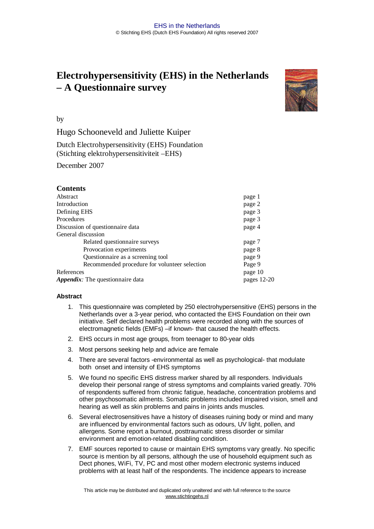# **Electrohypersensitivity (EHS) in the Netherlands – A Questionnaire survey**



by

Hugo Schooneveld and Juliette Kuiper

Dutch Electrohypersensitivity (EHS) Foundation (Stichting elektrohypersensitiviteit –EHS)

December 2007

| <b>Contents</b>                               |               |
|-----------------------------------------------|---------------|
| Abstract                                      | page 1        |
| Introduction                                  | page 2        |
| Defining EHS                                  | page 3        |
| Procedures                                    | page 3        |
| Discussion of questionnaire data              | page 4        |
| General discussion                            |               |
| Related questionnaire surveys                 | page 7        |
| Provocation experiments                       | page 8        |
| Questionnaire as a screening tool             | page 9        |
| Recommended procedure for volunteer selection | Page 9        |
| References                                    | page 10       |
| Appendix: The questionnaire data              | pages $12-20$ |

#### **Abstract**

- 1. This questionnaire was completed by 250 electrohypersensitive (EHS) persons in the Netherlands over a 3-year period, who contacted the EHS Foundation on their own initiative. Self declared health problems were recorded along with the sources of electromagnetic fields (EMFs) –if known- that caused the health effects.
- 2. EHS occurs in most age groups, from teenager to 80-year olds
- 3. Most persons seeking help and advice are female
- 4. There are several factors -environmental as well as psychological- that modulate both onset and intensity of EHS symptoms
- 5. We found no specific EHS distress marker shared by all responders. Individuals develop their personal range of stress symptoms and complaints varied greatly. 70% of respondents suffered from chronic fatigue, headache, concentration problems and other psychosomatic ailments. Somatic problems included impaired vision, smell and hearing as well as skin problems and pains in joints ands muscles.
- 6. Several electrosensitives have a history of diseases ruining body or mind and many are influenced by environmental factors such as odours, UV light, pollen, and allergens. Some report a burnout, posttraumatic stress disorder or similar environment and emotion-related disabling condition.
- 7. EMF sources reported to cause or maintain EHS symptoms vary greatly. No specific source is mention by all persons, although the use of household equipment such as Dect phones, WiFi, TV, PC and most other modern electronic systems induced problems with at least half of the respondents. The incidence appears to increase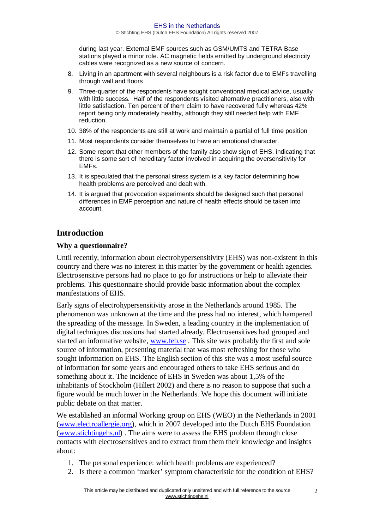during last year. External EMF sources such as GSM/UMTS and TETRA Base stations played a minor role. AC magnetic fields emitted by underground electricity cables were recognized as a new source of concern.

- 8. Living in an apartment with several neighbours is a risk factor due to EMFs travelling through wall and floors
- 9. Three-quarter of the respondents have sought conventional medical advice, usually with little success. Half of the respondents visited alternative practitioners, also with little satisfaction. Ten percent of them claim to have recovered fully whereas 42% report being only moderately healthy, although they still needed help with EMF reduction.
- 10. 38% of the respondents are still at work and maintain a partial of full time position
- 11. Most respondents consider themselves to have an emotional character.
- 12. Some report that other members of the family also show sign of EHS, indicating that there is some sort of hereditary factor involved in acquiring the oversensitivity for EMFs.
- 13. It is speculated that the personal stress system is a key factor determining how health problems are perceived and dealt with.
- 14. It is argued that provocation experiments should be designed such that personal differences in EMF perception and nature of health effects should be taken into account.

# **Introduction**

### **Why a questionnaire?**

Until recently, information about electrohypersensitivity (EHS) was non-existent in this country and there was no interest in this matter by the government or health agencies. Electrosensitive persons had no place to go for instructions or help to alleviate their problems. This questionnaire should provide basic information about the complex manifestations of EHS.

Early signs of electrohypersensitivity arose in the Netherlands around 1985. The phenomenon was unknown at the time and the press had no interest, which hampered the spreading of the message. In Sweden, a leading country in the implementation of digital techniques discussions had started already. Electrosensitives had grouped and started an informative website, www.feb.se . This site was probably the first and sole source of information, presenting material that was most refreshing for those who sought information on EHS. The English section of this site was a most useful source of information for some years and encouraged others to take EHS serious and do something about it. The incidence of EHS in Sweden was about 1,5% of the inhabitants of Stockholm (Hillert 2002) and there is no reason to suppose that such a figure would be much lower in the Netherlands. We hope this document will initiate public debate on that matter.

We established an informal Working group on EHS (WEO) in the Netherlands in 2001 (www.electroallergie.org), which in 2007 developed into the Dutch EHS Foundation (www.stichtingehs.nl) . The aims were to assess the EHS problem through close contacts with electrosensitives and to extract from them their knowledge and insights about:

- 1. The personal experience: which health problems are experienced?
- 2. Is there a common 'marker' symptom characteristic for the condition of EHS?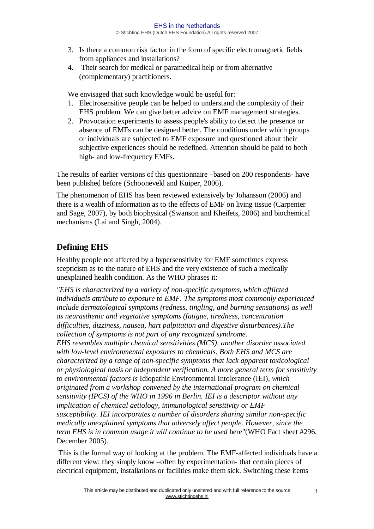- 3. Is there a common risk factor in the form of specific electromagnetic fields from appliances and installations?
- 4. Their search for medical or paramedical help or from alternative (complementary) practitioners.

We envisaged that such knowledge would be useful for:

- 1. Electrosensitive people can be helped to understand the complexity of their EHS problem. We can give better advice on EMF management strategies.
- 2. Provocation experiments to assess people's ability to detect the presence or absence of EMFs can be designed better. The conditions under which groups or individuals are subjected to EMF exposure and questioned about their subjective experiences should be redefined. Attention should be paid to both high- and low-frequency EMFs.

The results of earlier versions of this questionnaire –based on 200 respondents- have been published before (Schooneveld and Kuiper, 2006).

The phenomenon of EHS has been reviewed extensively by Johansson (2006) and there is a wealth of information as to the effects of EMF on living tissue (Carpenter and Sage, 2007), by both biophysical (Swanson and Kheifets, 2006) and biochemical mechanisms (Lai and Singh, 2004).

# **Defining EHS**

Healthy people not affected by a hypersensitivity for EMF sometimes express scepticism as to the nature of EHS and the very existence of such a medically unexplained health condition. As the WHO phrases it:

*"EHS is characterized by a variety of non-specific symptoms, which afflicted individuals attribute to exposure to EMF. The symptoms most commonly experienced include dermatological symptoms (redness, tingling, and burning sensations) as well as neurasthenic and vegetative symptoms (fatigue, tiredness, concentration difficulties, dizziness, nausea, hart palpitation and digestive disturbances).The collection of symptoms is not part of any recognized syndrome. EHS resembles multiple chemical sensitivities (MCS), another disorder associated with low-level environmental exposures to chemicals. Both EHS and MCS are characterized by a range of non-specific symptoms that lack apparent toxicological or physiological basis or independent verification. A more general term for sensitivity to environmental factors is* Idiopathic Environmental Intolerance (IEI)*, which originated from a workshop convened by the international program on chemical sensitivity (IPCS) of the WHO in 1996 in Berlin. IEI is a descriptor without any implication of chemical aetiology, immunological sensitivity or EMF susceptibility. IEI incorporates a number of disorders sharing similar non-specific medically unexplained symptoms that adversely affect people. However, since the term EHS is in common usage it will continue to be used* here"(WHO Fact sheet #296, December 2005).

 This is the formal way of looking at the problem. The EMF-affected individuals have a different view: they simply know –often by experimentation- that certain pieces of electrical equipment, installations or facilities make them sick. Switching these items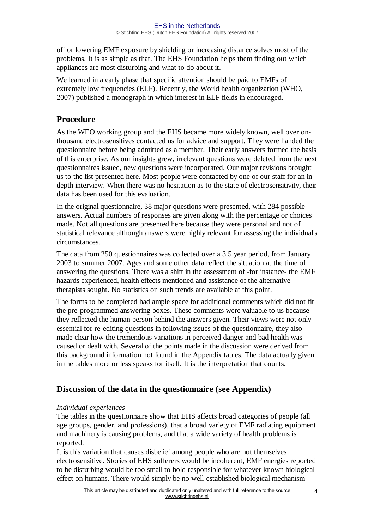off or lowering EMF exposure by shielding or increasing distance solves most of the problems. It is as simple as that. The EHS Foundation helps them finding out which appliances are most disturbing and what to do about it.

We learned in a early phase that specific attention should be paid to EMFs of extremely low frequencies (ELF). Recently, the World health organization (WHO, 2007) published a monograph in which interest in ELF fields in encouraged.

# **Procedure**

As the WEO working group and the EHS became more widely known, well over onthousand electrosensitives contacted us for advice and support. They were handed the questionnaire before being admitted as a member. Their early answers formed the basis of this enterprise. As our insights grew, irrelevant questions were deleted from the next questionnaires issued, new questions were incorporated. Our major revisions brought us to the list presented here. Most people were contacted by one of our staff for an indepth interview. When there was no hesitation as to the state of electrosensitivity, their data has been used for this evaluation.

In the original questionnaire, 38 major questions were presented, with 284 possible answers. Actual numbers of responses are given along with the percentage or choices made. Not all questions are presented here because they were personal and not of statistical relevance although answers were highly relevant for assessing the individual's circumstances.

The data from 250 questionnaires was collected over a 3.5 year period, from January 2003 to summer 2007. Ages and some other data reflect the situation at the time of answering the questions. There was a shift in the assessment of -for instance- the EMF hazards experienced, health effects mentioned and assistance of the alternative therapists sought. No statistics on such trends are available at this point.

The forms to be completed had ample space for additional comments which did not fit the pre-programmed answering boxes. These comments were valuable to us because they reflected the human person behind the answers given. Their views were not only essential for re-editing questions in following issues of the questionnaire, they also made clear how the tremendous variations in perceived danger and bad health was caused or dealt with. Several of the points made in the discussion were derived from this background information not found in the Appendix tables. The data actually given in the tables more or less speaks for itself. It is the interpretation that counts.

# **Discussion of the data in the questionnaire (see Appendix)**

# *Individual experiences*

The tables in the questionnaire show that EHS affects broad categories of people (all age groups, gender, and professions), that a broad variety of EMF radiating equipment and machinery is causing problems, and that a wide variety of health problems is reported.

It is this variation that causes disbelief among people who are not themselves electrosensitive. Stories of EHS sufferers would be incoherent, EMF energies reported to be disturbing would be too small to hold responsible for whatever known biological effect on humans. There would simply be no well-established biological mechanism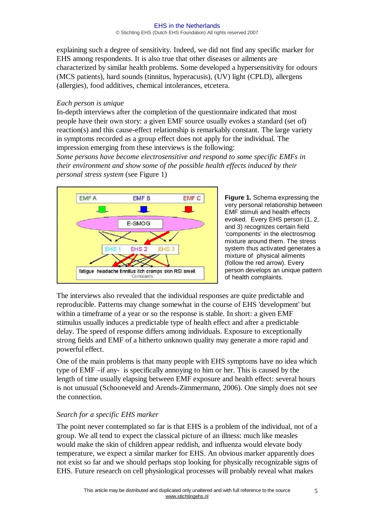explaining such a degree of sensitivity. Indeed, we did not find any specific marker for EHS among respondents. It is also true that other diseases or ailments are characterized by similar health problems. Some developed a hypersensitivity for odours (MCS patients), hard sounds (tinnitus, hyperacusis), (UV) light (CPLD), allergens (allergies), food additives, chemical intolerances, etcetera.

### *Each person is unique*

In-depth interviews after the completion of the questionnaire indicated that most people have their own story: a given EMF source usually evokes a standard (set of) reaction(s) and this cause-effect relationship is remarkably constant. The large variety in symptoms recorded as a group effect does not apply for the individual. The impression emerging from these interviews is the following:

*Some persons have become electrosensitive and respond to some specific EMFs in their environment and show some of the possible health effects induced by their personal stress system* (see Figure 1)



**Figure 1.** Schema expressing the very personal relationship between EMF stimuli and health effects evoked. Every EHS person (1, 2, and 3) recognizes certain field 'components' in the electrosmog mixture around them. The stress system thus activated generates a mixture of physical ailments (follow the red arrow). Every person develops an unique pattern of health complaints.

The interviews also revealed that the individual responses are quite predictable and reproducible. Patterns may change somewhat in the course of EHS 'development' but within a timeframe of a year or so the response is stable. In short: a given EMF stimulus usually induces a predictable type of health effect and after a predictable delay. The speed of response differs among individuals. Exposure to exceptionally strong fields and EMF of a hitherto unknown quality may generate a more rapid and powerful effect.

One of the main problems is that many people with EHS symptoms have no idea which type of EMF –if any- is specifically annoying to him or her. This is caused by the length of time usually elapsing between EMF exposure and health effect: several hours is not unusual (Schooneveld and Arends-Zimmermann, 2006). One simply does not see the connection.

### *Search for a specific EHS marker*

The point never contemplated so far is that EHS is a problem of the individual, not of a group. We all tend to expect the classical picture of an illness: much like measles would make the skin of children appear reddish, and influenza would elevate body temperature, we expect a similar marker for EHS. An obvious marker apparently does not exist so far and we should perhaps stop looking for physically recognizable signs of EHS. Future research on cell physiological processes will probably reveal what makes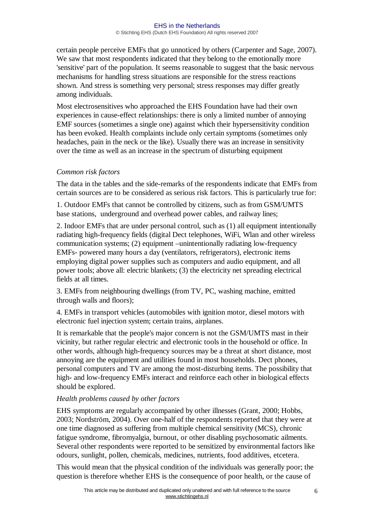certain people perceive EMFs that go unnoticed by others (Carpenter and Sage, 2007). We saw that most respondents indicated that they belong to the emotionally more 'sensitive' part of the population. It seems reasonable to suggest that the basic nervous mechanisms for handling stress situations are responsible for the stress reactions shown. And stress is something very personal; stress responses may differ greatly among individuals.

Most electrosensitives who approached the EHS Foundation have had their own experiences in cause-effect relationships: there is only a limited number of annoying EMF sources (sometimes a single one) against which their hypersensitivity condition has been evoked. Health complaints include only certain symptoms (sometimes only headaches, pain in the neck or the like). Usually there was an increase in sensitivity over the time as well as an increase in the spectrum of disturbing equipment

### *Common risk factors*

The data in the tables and the side-remarks of the respondents indicate that EMFs from certain sources are to be considered as serious risk factors. This is particularly true for:

1. Outdoor EMFs that cannot be controlled by citizens, such as from GSM/UMTS base stations, underground and overhead power cables, and railway lines;

2. Indoor EMFs that are under personal control, such as (1) all equipment intentionally radiating high-frequency fields (digital Dect telephones, WiFi, Wlan and other wireless communication systems; (2) equipment –unintentionally radiating low-frequency EMFs- powered many hours a day (ventilators, refrigerators), electronic items employing digital power supplies such as computers and audio equipment, and all power tools; above all: electric blankets; (3) the electricity net spreading electrical fields at all times.

3. EMFs from neighbouring dwellings (from TV, PC, washing machine, emitted through walls and floors);

4. EMFs in transport vehicles (automobiles with ignition motor, diesel motors with electronic fuel injection system; certain trains, airplanes.

It is remarkable that the people's major concern is not the GSM/UMTS mast in their vicinity, but rather regular electric and electronic tools in the household or office. In other words, although high-frequency sources may be a threat at short distance, most annoying are the equipment and utilities found in most households. Dect phones, personal computers and TV are among the most-disturbing items. The possibility that high- and low-frequency EMFs interact and reinforce each other in biological effects should be explored.

### *Health problems caused by other factors*

EHS symptoms are regularly accompanied by other illnesses (Grant, 2000; Hobbs, 2003; Nordström, 2004). Over one-half of the respondents reported that they were at one time diagnosed as suffering from multiple chemical sensitivity (MCS), chronic fatigue syndrome, fibromyalgia, burnout, or other disabling psychosomatic ailments. Several other respondents were reported to be sensitized by environmental factors like odours, sunlight, pollen, chemicals, medicines, nutrients, food additives, etcetera.

This would mean that the physical condition of the individuals was generally poor; the question is therefore whether EHS is the consequence of poor health, or the cause of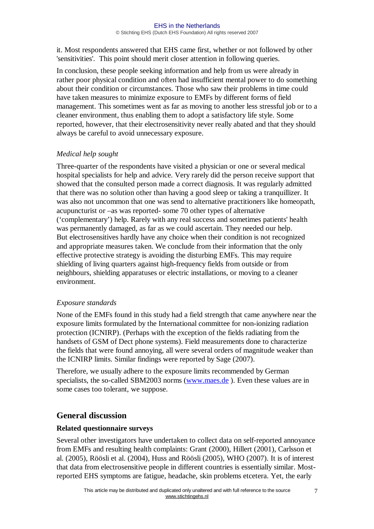it. Most respondents answered that EHS came first, whether or not followed by other 'sensitivities'. This point should merit closer attention in following queries.

In conclusion, these people seeking information and help from us were already in rather poor physical condition and often had insufficient mental power to do something about their condition or circumstances. Those who saw their problems in time could have taken measures to minimize exposure to EMFs by different forms of field management. This sometimes went as far as moving to another less stressful job or to a cleaner environment, thus enabling them to adopt a satisfactory life style. Some reported, however, that their electrosensitivity never really abated and that they should always be careful to avoid unnecessary exposure.

### *Medical help sought*

Three-quarter of the respondents have visited a physician or one or several medical hospital specialists for help and advice. Very rarely did the person receive support that showed that the consulted person made a correct diagnosis. It was regularly admitted that there was no solution other than having a good sleep or taking a tranquillizer. It was also not uncommon that one was send to alternative practitioners like homeopath, acupuncturist or –as was reported- some 70 other types of alternative ('complementary') help. Rarely with any real success and sometimes patients' health was permanently damaged, as far as we could ascertain. They needed our help. But electrosensitives hardly have any choice when their condition is not recognized and appropriate measures taken. We conclude from their information that the only effective protective strategy is avoiding the disturbing EMFs. This may require shielding of living quarters against high-frequency fields from outside or from neighbours, shielding apparatuses or electric installations, or moving to a cleaner environment.

### *Exposure standards*

None of the EMFs found in this study had a field strength that came anywhere near the exposure limits formulated by the International committee for non-ionizing radiation protection (ICNIRP). (Perhaps with the exception of the fields radiating from the handsets of GSM of Dect phone systems). Field measurements done to characterize the fields that were found annoying, all were several orders of magnitude weaker than the ICNIRP limits. Similar findings were reported by Sage (2007).

Therefore, we usually adhere to the exposure limits recommended by German specialists, the so-called SBM2003 norms (www.maes.de ). Even these values are in some cases too tolerant, we suppose.

# **General discussion**

### **Related questionnaire surveys**

Several other investigators have undertaken to collect data on self-reported annoyance from EMFs and resulting health complaints: Grant (2000), Hillert (2001), Carlsson et al. (2005), Röösli et al. (2004), Huss and Röösli (2005), WHO (2007). It is of interest that data from electrosensitive people in different countries is essentially similar. Mostreported EHS symptoms are fatigue, headache, skin problems etcetera. Yet, the early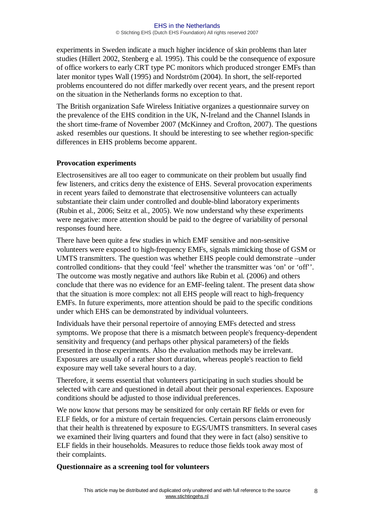experiments in Sweden indicate a much higher incidence of skin problems than later studies (Hillert 2002, Stenberg e al. 1995). This could be the consequence of exposure of office workers to early CRT type PC monitors which produced stronger EMFs than later monitor types Wall (1995) and Nordström (2004). In short, the self-reported problems encountered do not differ markedly over recent years, and the present report on the situation in the Netherlands forms no exception to that.

The British organization Safe Wireless Initiative organizes a questionnaire survey on the prevalence of the EHS condition in the UK, N-Ireland and the Channel Islands in the short time-frame of November 2007 (McKinney and Crofton, 2007). The questions asked resembles our questions. It should be interesting to see whether region-specific differences in EHS problems become apparent.

### **Provocation experiments**

Electrosensitives are all too eager to communicate on their problem but usually find few listeners, and critics deny the existence of EHS. Several provocation experiments in recent years failed to demonstrate that electrosensitive volunteers can actually substantiate their claim under controlled and double-blind laboratory experiments (Rubin et al., 2006; Seitz et al., 2005). We now understand why these experiments were negative: more attention should be paid to the degree of variability of personal responses found here.

There have been quite a few studies in which EMF sensitive and non-sensitive volunteers were exposed to high-frequency EMFs, signals mimicking those of GSM or UMTS transmitters. The question was whether EHS people could demonstrate –under controlled conditions- that they could 'feel' whether the transmitter was 'on' or 'off''. The outcome was mostly negative and authors like Rubin et al. (2006) and others conclude that there was no evidence for an EMF-feeling talent. The present data show that the situation is more complex: not all EHS people will react to high-frequency EMFs. In future experiments, more attention should be paid to the specific conditions under which EHS can be demonstrated by individual volunteers.

Individuals have their personal repertoire of annoying EMFs detected and stress symptoms. We propose that there is a mismatch between people's frequency-dependent sensitivity and frequency (and perhaps other physical parameters) of the fields presented in those experiments. Also the evaluation methods may be irrelevant. Exposures are usually of a rather short duration, whereas people's reaction to field exposure may well take several hours to a day.

Therefore, it seems essential that volunteers participating in such studies should be selected with care and questioned in detail about their personal experiences. Exposure conditions should be adjusted to those individual preferences.

We now know that persons may be sensitized for only certain RF fields or even for ELF fields, or for a mixture of certain frequencies. Certain persons claim erroneously that their health is threatened by exposure to EGS/UMTS transmitters. In several cases we examined their living quarters and found that they were in fact (also) sensitive to ELF fields in their households. Measures to reduce those fields took away most of their complaints.

### **Questionnaire as a screening tool for volunteers**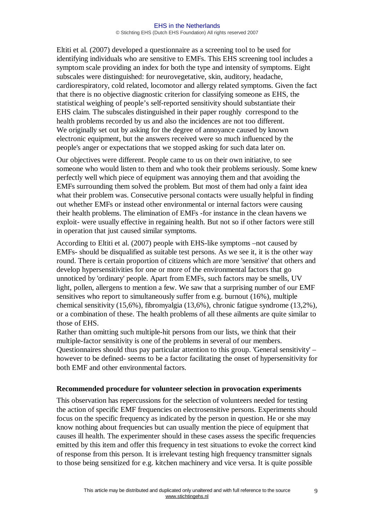Eltiti et al. (2007) developed a questionnaire as a screening tool to be used for identifying individuals who are sensitive to EMFs. This EHS screening tool includes a symptom scale providing an index for both the type and intensity of symptoms. Eight subscales were distinguished: for neurovegetative, skin, auditory, headache, cardiorespiratory, cold related, locomotor and allergy related symptoms. Given the fact that there is no objective diagnostic criterion for classifying someone as EHS, the statistical weighing of people's self-reported sensitivity should substantiate their EHS claim. The subscales distinguished in their paper roughly correspond to the health problems recorded by us and also the incidences are not too different. We originally set out by asking for the degree of annoyance caused by known electronic equipment, but the answers received were so much influenced by the people's anger or expectations that we stopped asking for such data later on.

Our objectives were different. People came to us on their own initiative, to see someone who would listen to them and who took their problems seriously. Some knew perfectly well which piece of equipment was annoying them and that avoiding the EMFs surrounding them solved the problem. But most of them had only a faint idea what their problem was. Consecutive personal contacts were usually helpful in finding out whether EMFs or instead other environmental or internal factors were causing their health problems. The elimination of EMFs -for instance in the clean havens we exploit- were usually effective in regaining health. But not so if other factors were still in operation that just caused similar symptoms.

According to Eltiti et al. (2007) people with EHS-like symptoms –not caused by EMFs- should be disqualified as suitable test persons. As we see it, it is the other way round. There is certain proportion of citizens which are more 'sensitive' that others and develop hypersensitivities for one or more of the environmental factors that go unnoticed by 'ordinary' people. Apart from EMFs, such factors may be smells, UV light, pollen, allergens to mention a few. We saw that a surprising number of our EMF sensitives who report to simultaneously suffer from e.g. burnout (16%), multiple chemical sensitivity (15,6%), fibromyalgia (13,6%), chronic fatigue syndrome (13,2%), or a combination of these. The health problems of all these ailments are quite similar to those of EHS.

Rather than omitting such multiple-hit persons from our lists, we think that their multiple-factor sensitivity is one of the problems in several of our members. Questionnaires should thus pay particular attention to this group. 'General sensitivity' – however to be defined- seems to be a factor facilitating the onset of hypersensitivity for both EMF and other environmental factors.

#### **Recommended procedure for volunteer selection in provocation experiments**

This observation has repercussions for the selection of volunteers needed for testing the action of specific EMF frequencies on electrosensitive persons. Experiments should focus on the specific frequency as indicated by the person in question. He or she may know nothing about frequencies but can usually mention the piece of equipment that causes ill health. The experimenter should in these cases assess the specific frequencies emitted by this item and offer this frequency in test situations to evoke the correct kind of response from this person. It is irrelevant testing high frequency transmitter signals to those being sensitized for e.g. kitchen machinery and vice versa. It is quite possible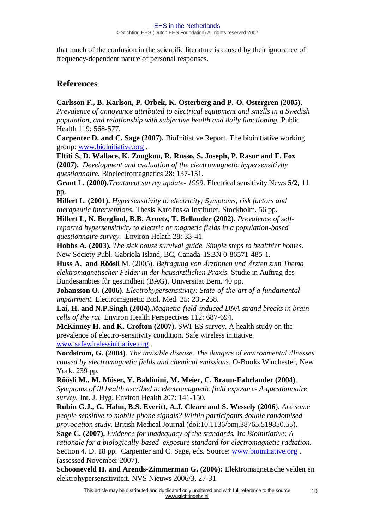that much of the confusion in the scientific literature is caused by their ignorance of frequency-dependent nature of personal responses.

## **References**

**Carlsson F., B. Karlson, P. Orbek, K. Osterberg and P.-O. Ostergren (2005)**.

*Prevalence of annoyance attributed to electrical equipment and smells in a Swedish population, and relationship with subjective health and daily functioning.* Public Health 119: 568-577.

**Carpenter D. and C. Sage (2007).** BioInitiative Report. The bioinitiative working group: www.bioinitiative.org .

**Eltiti S, D. Wallace, K. Zougkou, R. Russo, S. Joseph, P. Rasor and E. Fox (2007).** *Development and evaluation of the electromagnetic hypersensitivity questionnaire.* Bioelectromagnetics 28: 137-151.

**Grant** L. **(2000).***Treatment survey update- 1999*. Electrical sensitivity News **5/2**, 11 pp.

**Hillert** L. **(2001).** *Hypersensitivity to electricity; Symptoms, risk factors and therapeutic interventions*. Thesis Karolinska Institutet, Stockholm. 56 pp.

**Hillert L, N. Berglind, B.B. Arnetz, T. Bellander (2002).** *Prevalence of selfreported hypersensitivity to electric or magnetic fields in a population-based questionnaire survey.* Environ Helath 28: 33-41.

**Hobbs A. (2003)***. The sick house survival guide. Simple steps to healthier homes*. New Society Publ. Gabriola Island, BC, Canada. ISBN 0-86571-485-1.

**Huss A. and Röösli** M. (2005)*. Befragung von* Ā*rztinnen und* Ā*rzten zum Thema elektromagnetischer Felder in der hausärztlichen Praxis*. Studie in Auftrag des Bundesambtes főr gesundheit (BAG). Universitat Bern. 40 pp.

**Johansson O. (2006)**. *Electrohypersensitivity: State-of-the-art of a fundamental impairment.* Electromagnetic Biol. Med. 25: 235-258.

**Lai, H. and N.P.Singh (2004)**.*Magnetic-field-induced DNA strand breaks in brain cells of the rat.* Environ Health Perspectives 112: 687-694.

**McKinney H. and K. Crofton (2007).** SWI-ES survey. A health study on the prevalence of electro-sensitivity condition. Safe wireless initiative. www.safewirelessinitiative.org .

**Nordström, G. (2004)**. *The invisible disease*. *The dangers of environmental illnesses caused by electromagnetic fields and chemical emissions.* O-Books Winchester, New York. 239 pp.

**Röösli M., M. Möser, Y. Baldinini, M. Meier, C. Braun-Fahrlander (2004)**. *Symptoms of ill health ascribed to electromagnetic field exposure- A questionnaire survey.* Int. J. Hyg. Environ Health 207: 141-150.

**Rubin G.J., G. Hahn, B.S. Everitt, A.J. Cleare and S. Wessely (2006**). *Are some people sensitive to mobile phone signals? Within participants double randomised provocation study.* British Medical Journal (doi:10.1136/bmj.38765.519850.55).

**Sage C. (2007).** *Evidence for inadequacy of the standards.* In: *Bioinitiative: A rationale for a biologically-based exposure standard for electromagnetic radiation.*  Section 4. D. 18 pp. Carpenter and C. Sage, eds. Source: www.bioinitiative.org. (assessed November 2007).

**Schooneveld H. and Arends-Zimmerman G. (2006):** Elektromagnetische velden en elektrohypersensitiviteit. NVS Nieuws 2006/3, 27-31.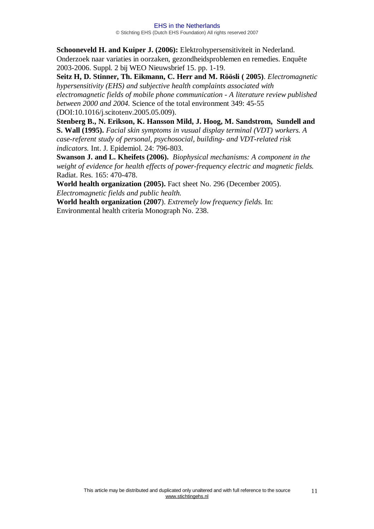**Schooneveld H. and Kuiper J. (2006):** Elektrohypersensitiviteit in Nederland. Onderzoek naar variaties in oorzaken, gezondheidsproblemen en remedies. Enquête 2003-2006. Suppl. 2 bij WEO Nieuwsbrief 15. pp. 1-19.

**Seitz H, D. Stinner, Th. Eikmann, C. Herr and M. Röösli ( 2005)**. *Electromagnetic hypersensitivity (EHS) and subjective health complaints associated with electromagnetic fields of mobile phone communication - A literature review published between 2000 and 2004.* Science of the total environment 349: 45-55 (DOI:10.1016/j.scitotenv.2005.05.009).

**Stenberg B., N. Erikson, K. Hansson Mild, J. Hoog, M. Sandstrom, Sundell and S. Wall (1995).** *Facial skin symptoms in vusual display terminal (VDT) workers. A case-referent study of personal, psychosocial, building- and VDT-related risk indicators.* Int. J. Epidemiol. 24: 796-803.

**Swanson J. and L. Kheifets (2006).** *Biophysical mechanisms: A component in the weight of evidence for health effects of power-frequency electric and magnetic fields.*  Radiat. Res. 165: 470-478.

**World health organization (2005).** Fact sheet No. 296 (December 2005). *Electromagnetic fields and public health.* 

**World health organization (2007**). *Extremely low frequency fields.* In: Environmental health criteria Monograph No. 238.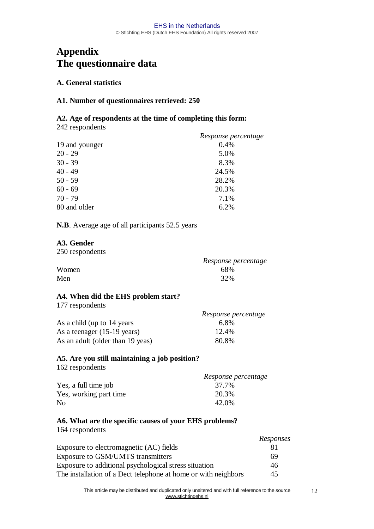# **Appendix The questionnaire data**

### **A. General statistics**

### **A1. Number of questionnaires retrieved: 250**

## **A2. Age of respondents at the time of completing this form:**

242 respondents

|                | Response percentage |
|----------------|---------------------|
| 19 and younger | 0.4%                |
| $20 - 29$      | 5.0%                |
| $30 - 39$      | 8.3%                |
| $40 - 49$      | 24.5%               |
| $50 - 59$      | 28.2%               |
| $60 - 69$      | 20.3%               |
| $70 - 79$      | 7.1%                |
| 80 and older   | 6.2%                |

**N.B**. Average age of all participants 52.5 years

### **A3. Gender**

250 respondents

| Response percentage |     |
|---------------------|-----|
| Women               | 68% |
| Men                 | 32% |

### **A4. When did the EHS problem start?**

177 respondents

| Response percentage |
|---------------------|
| 6.8%                |
| 12.4%               |
| 80.8%               |
|                     |

### **A5. Are you still maintaining a job position?**

162 respondents

|                        | Response percentage |
|------------------------|---------------------|
| Yes, a full time job   | 37.7%               |
| Yes, working part time | 20.3%               |
| N <sub>0</sub>         | 42.0%               |

### **A6. What are the specific causes of your EHS problems?**

164 respondents

|                                                                | Responses |
|----------------------------------------------------------------|-----------|
| Exposure to electromagnetic (AC) fields                        | 81        |
| Exposure to GSM/UMTS transmitters                              | 69        |
| Exposure to additional psychological stress situation          | 46        |
| The installation of a Dect telephone at home or with neighbors | 45        |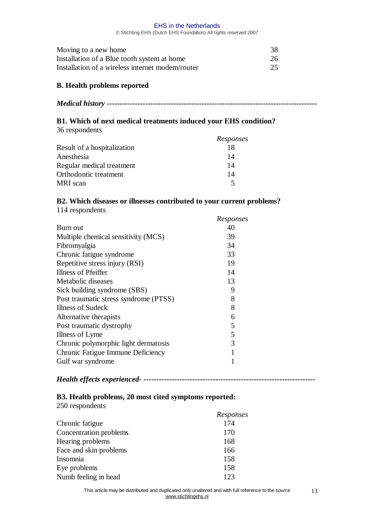# EHS in the Netherlands

© Stichting EHS (Dutch EHS Foundation) All rights reserved 2007

| Moving to a new home                             | 38 |
|--------------------------------------------------|----|
| Installation of a Blue tooth system at home      | 26 |
| Installation of a wireless internet modem/router | 25 |

### **B. Health problems reported**

### *Medical history ----------------------------------------------------------------------------------*

### **B1. Which of next medical treatments induced your EHS condition?**

36 respondents

|                             | Responses                |
|-----------------------------|--------------------------|
| Result of a hospitalization | 18                       |
| Anesthesia                  | 14                       |
| Regular medical treatment   | 14                       |
| Orthodontic treatment       | 14                       |
| MRI scan                    | $\overline{\mathcal{L}}$ |

### **B2. Which diseases or illnesses contributed to your current problems?**

| 114 respondents                       |           |
|---------------------------------------|-----------|
|                                       | Responses |
| Burn out                              | 40        |
| Multiple chemical sensitivity (MCS)   | 39        |
| Fibromyalgia                          | 34        |
| Chronic fatigue syndrome              | 33        |
| Repetitive stress injury (RSI)        | 19        |
| <b>Illness of Pfeiffer</b>            | 14        |
| Metabolic diseases                    | 13        |
| Sick building syndrome (SBS)          | 9         |
| Post traumatic stress syndrome (PTSS) | 8         |
| <b>Illness of Sudeck</b>              | 8         |
| Alternative therapists                | 6         |
| Post traumatic dystrophy              | 5         |
| Illness of Lyme                       | 5         |
| Chronic polymorphic light dermatosis  | 3         |
| Chronic Fatigue Immune Deficiency     |           |
| Gulf war syndrome                     |           |
|                                       |           |

*Health effects experienced- -------------------------------------------------------------------* 

### **B3. Health problems, 20 most cited symptoms reported:**

250 respondents

|                        | Responses |
|------------------------|-----------|
| Chronic fatigue        | 174       |
| Concentration problems | 170       |
| Hearing problems       | 168       |
| Face and skin problems | 166       |
| Insomnia               | 158       |
| Eye problems           | 158       |
| Numb feeling in head   | 123       |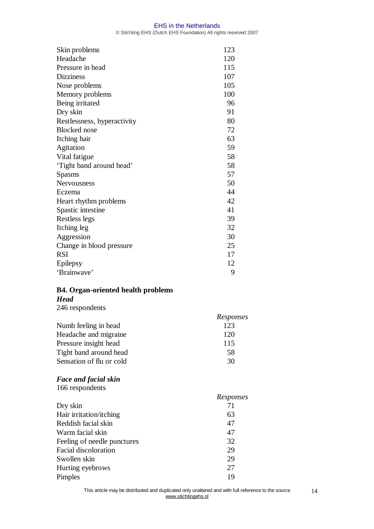| Skin problems                                            | 123       |
|----------------------------------------------------------|-----------|
| Headache                                                 | 120       |
| Pressure in head                                         | 115       |
| <b>Dizziness</b>                                         | 107       |
| Nose problems                                            | 105       |
| Memory problems                                          | 100       |
| Being irritated                                          | 96        |
| Dry skin                                                 | 91        |
| Restlessness, hyperactivity                              | 80        |
| <b>Blocked</b> nose                                      | 72        |
| Itching hair                                             | 63        |
| Agitation                                                | 59        |
| Vital fatigue                                            | 58        |
| 'Tight band around head'                                 | 58        |
| Spasms                                                   | 57        |
| <b>Nervousness</b>                                       | 50        |
| Eczema                                                   | 44        |
| Heart rhythm problems                                    | 42        |
| Spastic intestine                                        | 41        |
| Restless legs                                            | 39        |
| Itching leg                                              | 32        |
| Aggression                                               | 30        |
| Change in blood pressure                                 | 25        |
| <b>RSI</b>                                               | 17        |
| Epilepsy                                                 | 12        |
| 'Brainwave'                                              | 9         |
|                                                          |           |
| <b>B4. Organ-oriented health problems</b><br><b>Head</b> |           |
| 246 respondents                                          |           |
|                                                          | Responses |
| Numb feeling in head                                     | 123       |
| Headache and migraine                                    | 120       |
| Pressure insight head                                    | 115       |
| Tight band around head                                   | 58        |
| Sensation of flu or cold                                 | 30        |
|                                                          |           |
| <b>Face and facial skin</b>                              |           |
| 166 respondents                                          |           |
|                                                          | Responses |
| Dry skin                                                 | 71        |
| Hair irritation/itching                                  | 63        |
| Reddish facial skin                                      | 47        |
| Warm facial skin                                         | 47        |
| Feeling of needle punctures                              | 32        |
| Facial discoloration                                     | 29        |
| Swollen skin                                             | 29        |
| Hurting eyebrows                                         | 27        |
| Pimples                                                  | 19        |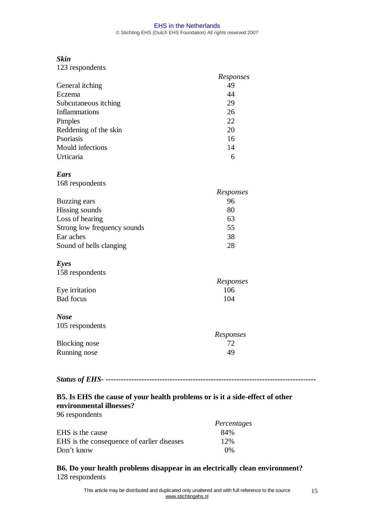| ۰,<br>v<br>×<br>I<br>ł<br>٧<br>× |  |
|----------------------------------|--|
|                                  |  |

123 respondents

| 49        |                 |
|-----------|-----------------|
| 44        |                 |
| 29        |                 |
| 26        |                 |
| 22        |                 |
| 20        |                 |
| 16        |                 |
| 14        |                 |
| 6         |                 |
|           |                 |
|           |                 |
| Responses |                 |
| 96        |                 |
| 80        |                 |
| 63        |                 |
| 55        |                 |
|           |                 |
| 28        |                 |
|           |                 |
|           |                 |
| Responses |                 |
| 106       |                 |
| 104       |                 |
|           |                 |
|           |                 |
| Responses |                 |
| 72        |                 |
| 49        |                 |
|           | Responses<br>38 |

### *Status of EHS- ----------------------------------------------------------------------------------*

# **B5. Is EHS the cause of your health problems or is it a side-effect of other environmental illnesses?**

96 respondents

|                                            | Percentages |
|--------------------------------------------|-------------|
| EHS is the cause                           | 84%         |
| EHS is the consequence of earlier diseases | 12%         |
| Don't know                                 | $0\%$       |

### **B6. Do your health problems disappear in an electrically clean environment?** 128 respondents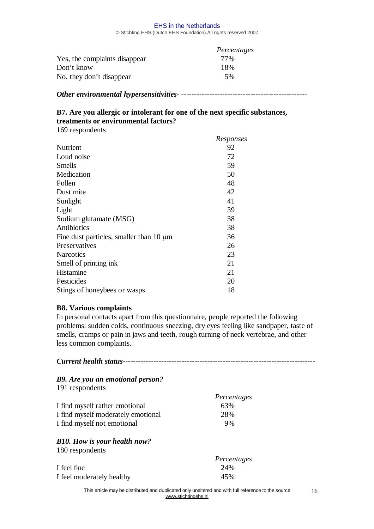|                               | Percentages |
|-------------------------------|-------------|
| Yes, the complaints disappear | 77%         |
| Don't know                    | 18%         |
| No, they don't disappear      | .5%         |

*Other environmental hypersensitivities- -------------------------------------------------* 

### **B7. Are you allergic or intolerant for one of the next specific substances, treatments or environmental factors?**

169 respondents

|                                              | Responses |
|----------------------------------------------|-----------|
| Nutrient                                     | 92        |
| Loud noise                                   | 72        |
| <b>Smells</b>                                | 59        |
| Medication                                   | 50        |
| Pollen                                       | 48        |
| Dust mite                                    | 42        |
| Sunlight                                     | 41        |
| Light                                        | 39        |
| Sodium glutamate (MSG)                       | 38        |
| Antibiotics                                  | 38        |
| Fine dust particles, smaller than $10 \mu m$ | 36        |
| Preservatives                                | 26        |
| <b>Narcotics</b>                             | 23        |
| Smell of printing ink                        | 21        |
| Histamine                                    | 21        |
| Pesticides                                   | 20        |
| Stings of honeybees or wasps                 | 18        |

### **B8. Various complaints**

In personal contacts apart from this questionnaire, people reported the following problems: sudden colds, continuous sneezing, dry eyes feeling like sandpaper, taste of smells, cramps or pain in jaws and teeth, rough turning of neck vertebrae, and other less common complaints.

*Current health status--------------------------------------------------------------------------- B9. Are you an emotional person?* 191 respondents *Percentages*  I find myself rather emotional 63% I find myself moderately emotional 28% I find myself not emotional 9% *B10. How is your health now?*  180 respondents *Percentages*  I feel fine 24% I feel moderately healthy 45%

> This article may be distributed and duplicated only unaltered and with full reference to the source www.stichtingehs.nl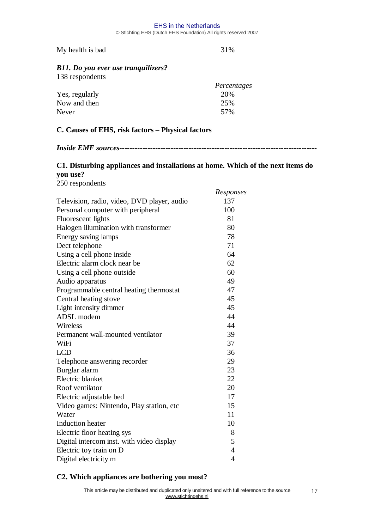My health is bad 31%

### *B11. Do you ever use tranquilizers?*

138 respondents

|                | Percentages |
|----------------|-------------|
| Yes, regularly | 20%         |
| Now and then   | 25%         |
| Never          | 57%         |

### **C. Causes of EHS, risk factors – Physical factors**

#### *Inside EMF sources-----------------------------------------------------------------------------*

### **C1. Disturbing appliances and installations at home. Which of the next items do you use?**  250 respondents

|                                             | Responses      |
|---------------------------------------------|----------------|
| Television, radio, video, DVD player, audio | 137            |
| Personal computer with peripheral           | 100            |
| <b>Fluorescent</b> lights                   | 81             |
| Halogen illumination with transformer       | 80             |
| Energy saving lamps                         | 78             |
| Dect telephone                              | 71             |
| Using a cell phone inside                   | 64             |
| Electric alarm clock near be                | 62             |
| Using a cell phone outside                  | 60             |
| Audio apparatus                             | 49             |
| Programmable central heating thermostat     | 47             |
| Central heating stove                       | 45             |
| Light intensity dimmer                      | 45             |
| <b>ADSL</b> modem                           | 44             |
| Wireless                                    | 44             |
| Permanent wall-mounted ventilator           | 39             |
| <b>WiFi</b>                                 | 37             |
| <b>LCD</b>                                  | 36             |
| Telephone answering recorder                | 29             |
| Burglar alarm                               | 23             |
| Electric blanket                            | 22             |
| Roof ventilator                             | 20             |
| Electric adjustable bed                     | 17             |
| Video games: Nintendo, Play station, etc    | 15             |
| Water                                       | 11             |
| <b>Induction</b> heater                     | 10             |
| Electric floor heating sys                  | 8              |
| Digital intercom inst. with video display   | 5              |
| Electric toy train on D                     | $\overline{4}$ |
| Digital electricity m                       | $\overline{4}$ |

#### **C2. Which appliances are bothering you most?**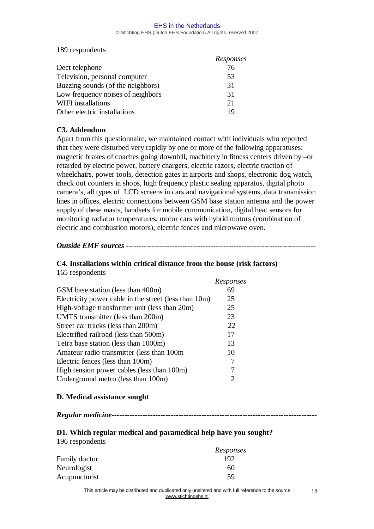189 respondents

|                                   | Responses |
|-----------------------------------|-----------|
| Dect telephone                    | 76        |
| Television, personal computer     | 53        |
| Buzzing sounds (of the neighbors) | 31        |
| Low frequency noises of neighbors | 31        |
| WIFI installations                | 21        |
| Other electric installations      | 19        |

### **C3. Addendum**

Apart from this questionnaire, we maintained contact with individuals who reported that they were disturbed very rapidly by one or more of the following apparatuses: magnetic brakes of coaches going downhill, machinery in fitness centers driven by –or retarded by electric power, battery chargers, electric razors, electric traction of wheelchairs, power tools, detection gates in airports and shops, electronic dog watch, check out counters in shops, high frequency plastic sealing apparatus, digital photo camera's, all types of LCD screens in cars and navigational systems, data transmission lines in offices, electric connections between GSM base station antenna and the power supply of these masts, handsets for mobile communication, digital heat sensors for monitoring radiator temperatures, motor cars with hybrid motors (combination of electric and combustion motors), electric fences and microwave oven.

## *Outside EMF sources --------------------------------------------------------------------------*

#### **C4. Installations within critical distance from the house (risk factors)** 165 respondents

|                                                       | Responses |
|-------------------------------------------------------|-----------|
| GSM base station (less than 400m)                     | 69        |
| Electricity power cable in the street (less than 10m) | 25        |
| High-voltage transformer unit (less than 20m)         | 25        |
| UMTS transmitter (less than 200m)                     | 23        |
| Street car tracks (less than 200m)                    | 22        |
| Electrified railroad (less than 500m)                 | 17        |
| Tetra base station (less than 1000m)                  | 13        |
| Amateur radio transmitter (less than 100m             | 10        |
| Electric fences (less than 100m)                      | 7         |
| High tension power cables (less than 100m)            | 7         |
| Underground metro (less than 100m)                    | 2         |

### **D. Medical assistance sought**

### *Regular medicine--------------------------------------------------------------------------------*

### **D1. Which regular medical and paramedical help have you sought?**  196 respondents

|               | Responses |
|---------------|-----------|
| Family doctor | 192       |
| Neurologist   | 60        |
| Acupuncturist | 59        |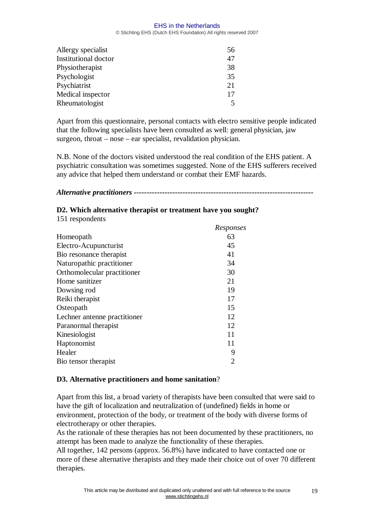| Allergy specialist   | 56 |
|----------------------|----|
| Institutional doctor | 47 |
| Physiotherapist      | 38 |
| Psychologist         | 35 |
| Psychiatrist         | 21 |
| Medical inspector    | 17 |
| Rheumatologist       |    |

Apart from this questionnaire, personal contacts with electro sensitive people indicated that the following specialists have been consulted as well: general physician, jaw surgeon, throat – nose – ear specialist, revalidation physician.

N.B. None of the doctors visited understood the real condition of the EHS patient. A psychiatric consultation was sometimes suggested. None of the EHS sufferers received any advice that helped them understand or combat their EMF hazards.

### *Alternative practitioners ----------------------------------------------------------------------*

### **D2. Which alternative therapist or treatment have you sought?**

|  | 151 respondents |
|--|-----------------|
|--|-----------------|

|                              | Responses |
|------------------------------|-----------|
| Homeopath                    | 63        |
| Electro-Acupuncturist        | 45        |
| Bio resonance therapist      | 41        |
| Naturopathic practitioner    | 34        |
| Orthomolecular practitioner  | 30        |
| Home sanitizer               | 21        |
| Dowsing rod                  | 19        |
| Reiki therapist              | 17        |
| Osteopath                    | 15        |
| Lechner antenne practitioner | 12        |
| Paranormal therapist         | 12        |
| Kinesiologist                | 11        |
| Haptonomist                  | 11        |
| Healer                       | 9         |
| Bio tensor therapist         | 2         |

### **D3. Alternative practitioners and home sanitation**?

Apart from this list, a broad variety of therapists have been consulted that were said to have the gift of localization and neutralization of (undefined) fields in home or environment, protection of the body, or treatment of the body with diverse forms of electrotherapy or other therapies.

As the rationale of these therapies has not been documented by these practitioners, no attempt has been made to analyze the functionality of these therapies.

All together, 142 persons (approx. 56.8%) have indicated to have contacted one or more of these alternative therapists and they made their choice out of over 70 different therapies.